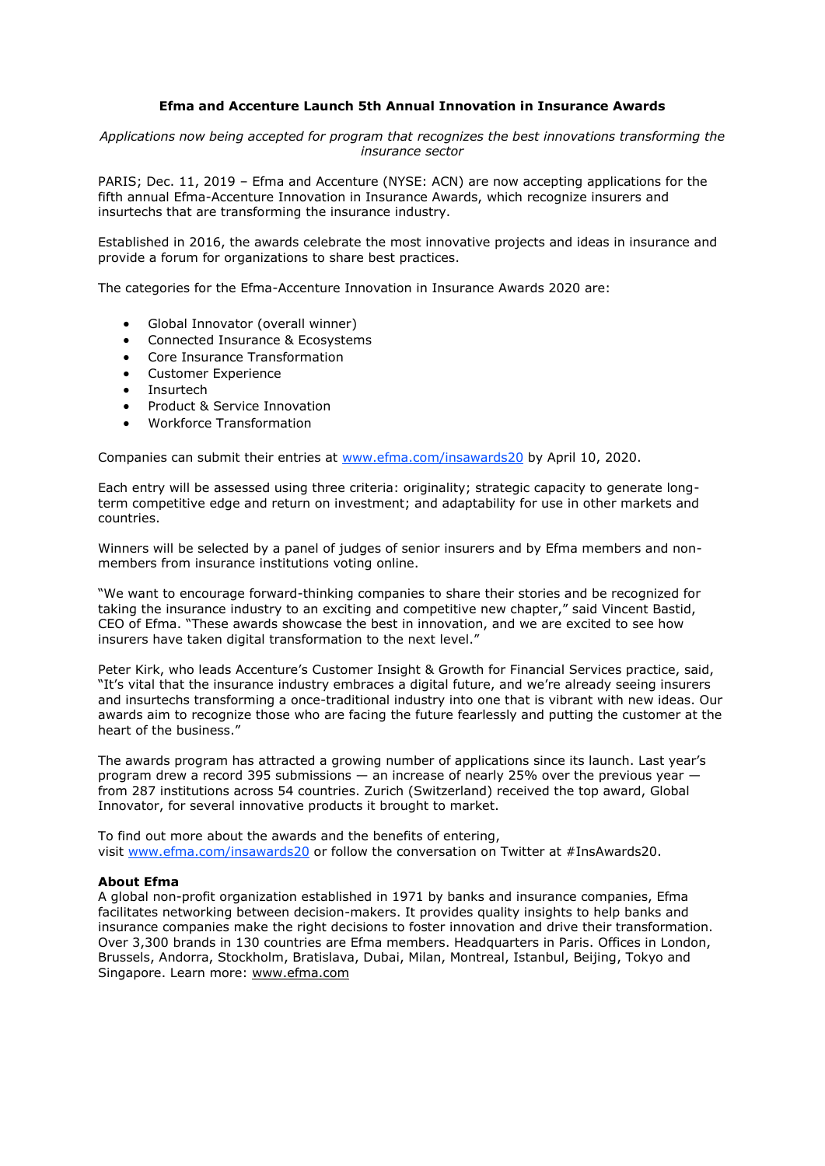## **Efma and Accenture Launch 5th Annual Innovation in Insurance Awards**

*Applications now being accepted for program that recognizes the best innovations transforming the insurance sector*

PARIS; Dec. 11, 2019 – Efma and Accenture (NYSE: ACN) are now accepting applications for the fifth annual Efma-Accenture Innovation in Insurance Awards, which recognize insurers and insurtechs that are transforming the insurance industry.

Established in 2016, the awards celebrate the most innovative projects and ideas in insurance and provide a forum for organizations to share best practices.

The categories for the Efma-Accenture Innovation in Insurance Awards 2020 are:

- Global Innovator (overall winner)
- Connected Insurance & Ecosystems
- Core Insurance Transformation
- Customer Experience
- **Insurtech**
- Product & Service Innovation
- Workforce Transformation

Companies can submit their entries at [www.efma.com/insawards20](http://www.efma.com/insawards20) by April 10, 2020.

Each entry will be assessed using three criteria: originality; strategic capacity to generate longterm competitive edge and return on investment; and adaptability for use in other markets and countries.

Winners will be selected by a panel of judges of senior insurers and by Efma members and nonmembers from insurance institutions voting online.

"We want to encourage forward-thinking companies to share their stories and be recognized for taking the insurance industry to an exciting and competitive new chapter," said Vincent Bastid, CEO of Efma. "These awards showcase the best in innovation, and we are excited to see how insurers have taken digital transformation to the next level."

Peter Kirk, who leads Accenture's Customer Insight & Growth for Financial Services practice, said, "It's vital that the insurance industry embraces a digital future, and we're already seeing insurers and insurtechs transforming a once-traditional industry into one that is vibrant with new ideas. Our awards aim to recognize those who are facing the future fearlessly and putting the customer at the heart of the business."

The awards program has attracted a growing number of applications since its launch. Last year's program drew a record 395 submissions — an increase of nearly 25% over the previous year from 287 institutions across 54 countries. Zurich (Switzerland) received the top award, Global Innovator, for several innovative products it brought to market.

To find out more about the awards and the benefits of entering, visit [www.efma.com/insawards20](http://www.efma.com/insawards20) or follow the conversation on Twitter at #InsAwards20.

## **About Efma**

A global non-profit organization established in 1971 by banks and insurance companies, Efma facilitates networking between decision-makers. It provides quality insights to help banks and insurance companies make the right decisions to foster innovation and drive their transformation. Over 3,300 brands in 130 countries are Efma members. Headquarters in Paris. Offices in London, Brussels, Andorra, Stockholm, Bratislava, Dubai, Milan, Montreal, Istanbul, Beijing, Tokyo and Singapore. Learn more: [www.efma.com](http://www.efma.com/)